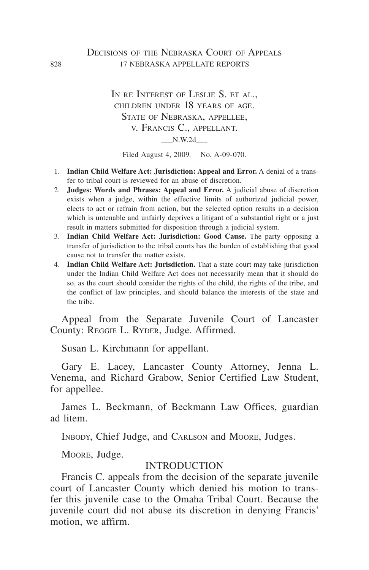### DECISIONS OF THE NEBRASKA COURT OF APPEALS 828 17 NEBRASKA APPELLATE REPORTS

IN RE INTEREST OF LESLIE S. ET AL., children under 18 years of age. STATE OF NEBRASKA, APPELLEE, v. Francis C., appellant. \_\_\_N.W.2d\_\_\_

Filed August 4, 2009. No. A-09-070.

- 1. **Indian Child Welfare Act: Jurisdiction: Appeal and Error.** A denial of a transfer to tribal court is reviewed for an abuse of discretion.
- 2. **Judges: Words and Phrases: Appeal and Error.** A judicial abuse of discretion exists when a judge, within the effective limits of authorized judicial power, elects to act or refrain from action, but the selected option results in a decision which is untenable and unfairly deprives a litigant of a substantial right or a just result in matters submitted for disposition through a judicial system.
- 3. **Indian Child Welfare Act: Jurisdiction: Good Cause.** The party opposing a transfer of jurisdiction to the tribal courts has the burden of establishing that good cause not to transfer the matter exists.
- 4. **Indian Child Welfare Act: Jurisdiction.** That a state court may take jurisdiction under the Indian Child Welfare Act does not necessarily mean that it should do so, as the court should consider the rights of the child, the rights of the tribe, and the conflict of law principles, and should balance the interests of the state and the tribe.

Appeal from the Separate Juvenile Court of Lancaster County: Reggie L. Ryder, Judge. Affirmed.

Susan L. Kirchmann for appellant.

Gary E. Lacey, Lancaster County Attorney, Jenna L. Venema, and Richard Grabow, Senior Certified Law Student, for appellee.

James L. Beckmann, of Beckmann Law Offices, guardian ad litem.

INBODY, Chief Judge, and CARLSON and MOORE, Judges.

Moore, Judge.

#### INTRODUCTION

Francis C. appeals from the decision of the separate juvenile court of Lancaster County which denied his motion to transfer this juvenile case to the Omaha Tribal Court. Because the juvenile court did not abuse its discretion in denying Francis' motion, we affirm.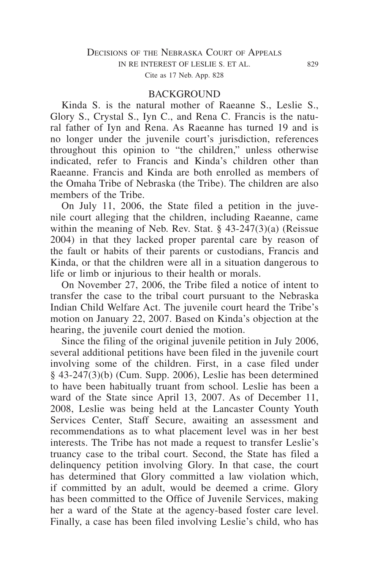#### **BACKGROUND**

Kinda S. is the natural mother of Raeanne S., Leslie S., Glory S., Crystal S., Iyn C., and Rena C. Francis is the natural father of Iyn and Rena. As Raeanne has turned 19 and is no longer under the juvenile court's jurisdiction, references throughout this opinion to "the children," unless otherwise indicated, refer to Francis and Kinda's children other than Raeanne. Francis and Kinda are both enrolled as members of the Omaha Tribe of Nebraska (the Tribe). The children are also members of the Tribe.

On July 11, 2006, the State filed a petition in the juvenile court alleging that the children, including Raeanne, came within the meaning of Neb. Rev. Stat. § 43-247(3)(a) (Reissue 2004) in that they lacked proper parental care by reason of the fault or habits of their parents or custodians, Francis and Kinda, or that the children were all in a situation dangerous to life or limb or injurious to their health or morals.

On November 27, 2006, the Tribe filed a notice of intent to transfer the case to the tribal court pursuant to the Nebraska Indian Child Welfare Act. The juvenile court heard the Tribe's motion on January 22, 2007. Based on Kinda's objection at the hearing, the juvenile court denied the motion.

Since the filing of the original juvenile petition in July 2006, several additional petitions have been filed in the juvenile court involving some of the children. First, in a case filed under § 43-247(3)(b) (Cum. Supp. 2006), Leslie has been determined to have been habitually truant from school. Leslie has been a ward of the State since April 13, 2007. As of December 11, 2008, Leslie was being held at the Lancaster County Youth Services Center, Staff Secure, awaiting an assessment and recommendations as to what placement level was in her best interests. The Tribe has not made a request to transfer Leslie's truancy case to the tribal court. Second, the State has filed a delinquency petition involving Glory. In that case, the court has determined that Glory committed a law violation which, if committed by an adult, would be deemed a crime. Glory has been committed to the Office of Juvenile Services, making her a ward of the State at the agency-based foster care level. Finally, a case has been filed involving Leslie's child, who has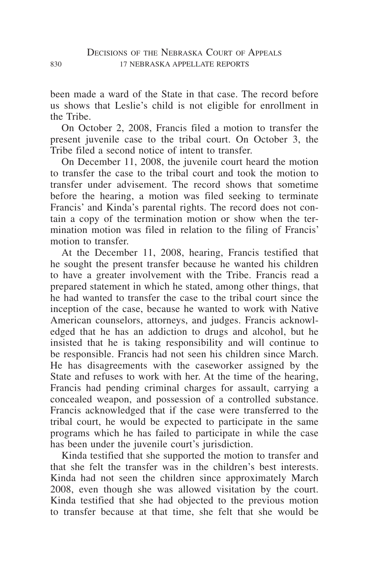been made a ward of the State in that case. The record before us shows that Leslie's child is not eligible for enrollment in the Tribe.

On October 2, 2008, Francis filed a motion to transfer the present juvenile case to the tribal court. On October 3, the Tribe filed a second notice of intent to transfer.

On December 11, 2008, the juvenile court heard the motion to transfer the case to the tribal court and took the motion to transfer under advisement. The record shows that sometime before the hearing, a motion was filed seeking to terminate Francis' and Kinda's parental rights. The record does not contain a copy of the termination motion or show when the termination motion was filed in relation to the filing of Francis' motion to transfer.

At the December 11, 2008, hearing, Francis testified that he sought the present transfer because he wanted his children to have a greater involvement with the Tribe. Francis read a prepared statement in which he stated, among other things, that he had wanted to transfer the case to the tribal court since the inception of the case, because he wanted to work with Native American counselors, attorneys, and judges. Francis acknowledged that he has an addiction to drugs and alcohol, but he insisted that he is taking responsibility and will continue to be responsible. Francis had not seen his children since March. He has disagreements with the caseworker assigned by the State and refuses to work with her. At the time of the hearing, Francis had pending criminal charges for assault, carrying a concealed weapon, and possession of a controlled substance. Francis acknowledged that if the case were transferred to the tribal court, he would be expected to participate in the same programs which he has failed to participate in while the case has been under the juvenile court's jurisdiction.

Kinda testified that she supported the motion to transfer and that she felt the transfer was in the children's best interests. Kinda had not seen the children since approximately March 2008, even though she was allowed visitation by the court. Kinda testified that she had objected to the previous motion to transfer because at that time, she felt that she would be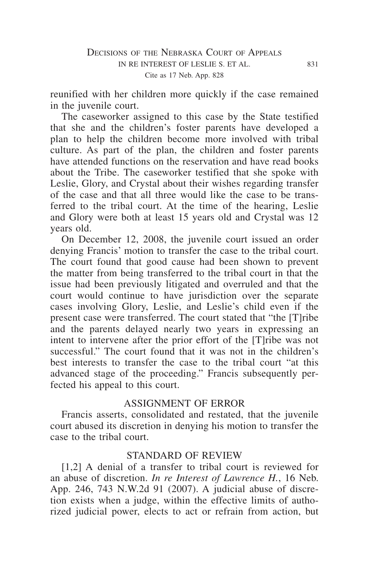reunified with her children more quickly if the case remained in the juvenile court.

The caseworker assigned to this case by the State testified that she and the children's foster parents have developed a plan to help the children become more involved with tribal culture. As part of the plan, the children and foster parents have attended functions on the reservation and have read books about the Tribe. The caseworker testified that she spoke with Leslie, Glory, and Crystal about their wishes regarding transfer of the case and that all three would like the case to be transferred to the tribal court. At the time of the hearing, Leslie and Glory were both at least 15 years old and Crystal was 12 years old.

On December 12, 2008, the juvenile court issued an order denying Francis' motion to transfer the case to the tribal court. The court found that good cause had been shown to prevent the matter from being transferred to the tribal court in that the issue had been previously litigated and overruled and that the court would continue to have jurisdiction over the separate cases involving Glory, Leslie, and Leslie's child even if the present case were transferred. The court stated that "the [T]ribe and the parents delayed nearly two years in expressing an intent to intervene after the prior effort of the [T]ribe was not successful." The court found that it was not in the children's best interests to transfer the case to the tribal court "at this advanced stage of the proceeding." Francis subsequently perfected his appeal to this court.

# ASSIGNMENT OF ERROR

Francis asserts, consolidated and restated, that the juvenile court abused its discretion in denying his motion to transfer the case to the tribal court.

# STANDARD OF REVIEW

[1,2] A denial of a transfer to tribal court is reviewed for an abuse of discretion. *In re Interest of Lawrence H.*, 16 Neb. App. 246, 743 N.W.2d 91 (2007). A judicial abuse of discretion exists when a judge, within the effective limits of authorized judicial power, elects to act or refrain from action, but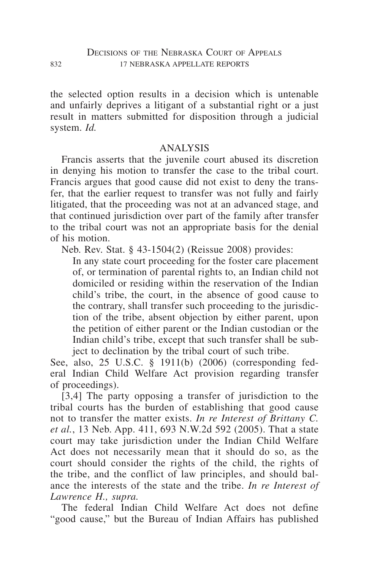the selected option results in a decision which is untenable and unfairly deprives a litigant of a substantial right or a just result in matters submitted for disposition through a judicial system. *Id.*

### ANALYSIS

Francis asserts that the juvenile court abused its discretion in denying his motion to transfer the case to the tribal court. Francis argues that good cause did not exist to deny the transfer, that the earlier request to transfer was not fully and fairly litigated, that the proceeding was not at an advanced stage, and that continued jurisdiction over part of the family after transfer to the tribal court was not an appropriate basis for the denial of his motion.

Neb. Rev. Stat. § 43-1504(2) (Reissue 2008) provides:

In any state court proceeding for the foster care placement of, or termination of parental rights to, an Indian child not domiciled or residing within the reservation of the Indian child's tribe, the court, in the absence of good cause to the contrary, shall transfer such proceeding to the jurisdiction of the tribe, absent objection by either parent, upon the petition of either parent or the Indian custodian or the Indian child's tribe, except that such transfer shall be subject to declination by the tribal court of such tribe.

See, also, 25 U.S.C. § 1911(b) (2006) (corresponding federal Indian Child Welfare Act provision regarding transfer of proceedings).

[3,4] The party opposing a transfer of jurisdiction to the tribal courts has the burden of establishing that good cause not to transfer the matter exists. *In re Interest of Brittany C. et al.*, 13 Neb. App. 411, 693 N.W.2d 592 (2005). That a state court may take jurisdiction under the Indian Child Welfare Act does not necessarily mean that it should do so, as the court should consider the rights of the child, the rights of the tribe, and the conflict of law principles, and should balance the interests of the state and the tribe. *In re Interest of Lawrence H., supra.*

The federal Indian Child Welfare Act does not define "good cause," but the Bureau of Indian Affairs has published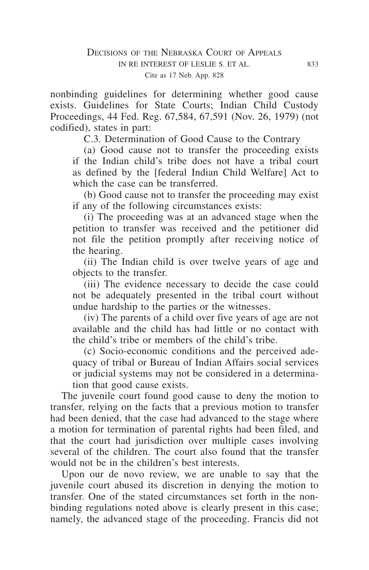nonbinding guidelines for determining whether good cause exists. Guidelines for State Courts; Indian Child Custody Proceedings, 44 Fed. Reg. 67,584, 67,591 (Nov. 26, 1979) (not codified), states in part:

C.3. Determination of Good Cause to the Contrary

(a) Good cause not to transfer the proceeding exists if the Indian child's tribe does not have a tribal court as defined by the [federal Indian Child Welfare] Act to which the case can be transferred.

(b) Good cause not to transfer the proceeding may exist if any of the following circumstances exists:

(i) The proceeding was at an advanced stage when the petition to transfer was received and the petitioner did not file the petition promptly after receiving notice of the hearing.

(ii) The Indian child is over twelve years of age and objects to the transfer.

(iii) The evidence necessary to decide the case could not be adequately presented in the tribal court without undue hardship to the parties or the witnesses.

(iv) The parents of a child over five years of age are not available and the child has had little or no contact with the child's tribe or members of the child's tribe.

(c) Socio-economic conditions and the perceived adequacy of tribal or Bureau of Indian Affairs social services or judicial systems may not be considered in a determination that good cause exists.

The juvenile court found good cause to deny the motion to transfer, relying on the facts that a previous motion to transfer had been denied, that the case had advanced to the stage where a motion for termination of parental rights had been filed, and that the court had jurisdiction over multiple cases involving several of the children. The court also found that the transfer would not be in the children's best interests.

Upon our de novo review, we are unable to say that the juvenile court abused its discretion in denying the motion to transfer. One of the stated circumstances set forth in the nonbinding regulations noted above is clearly present in this case; namely, the advanced stage of the proceeding. Francis did not